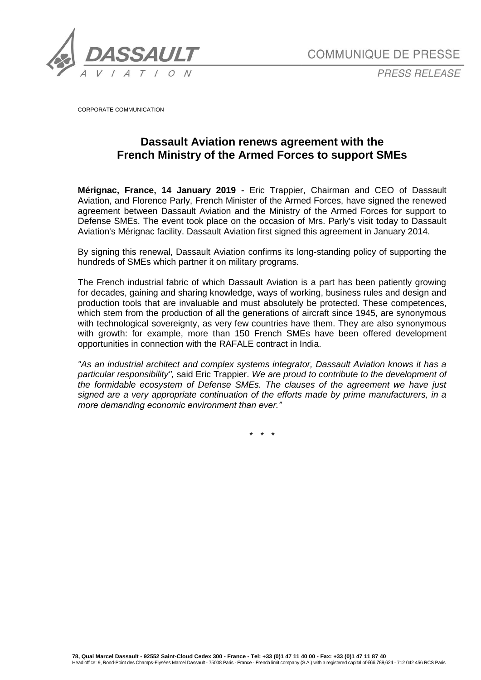

COMMUNIQUE DE PRESSE

*PRESS RELEASE*

CORPORATE COMMUNICATION

## **Dassault Aviation renews agreement with the French Ministry of the Armed Forces to support SMEs**

**Mérignac, France, 14 January 2019 -** Eric Trappier, Chairman and CEO of Dassault Aviation, and Florence Parly, French Minister of the Armed Forces, have signed the renewed agreement between Dassault Aviation and the Ministry of the Armed Forces for support to Defense SMEs. The event took place on the occasion of Mrs. Parly's visit today to Dassault Aviation's Mérignac facility. Dassault Aviation first signed this agreement in January 2014.

By signing this renewal, Dassault Aviation confirms its long-standing policy of supporting the hundreds of SMEs which partner it on military programs.

The French industrial fabric of which Dassault Aviation is a part has been patiently growing for decades, gaining and sharing knowledge, ways of working, business rules and design and production tools that are invaluable and must absolutely be protected. These competences, which stem from the production of all the generations of aircraft since 1945, are synonymous with technological sovereignty, as very few countries have them. They are also synonymous with growth: for example, more than 150 French SMEs have been offered development opportunities in connection with the RAFALE contract in India.

*"As an industrial architect and complex systems integrator, Dassault Aviation knows it has a particular responsibility",* said Eric Trappier. *We are proud to contribute to the development of the formidable ecosystem of Defense SMEs. The clauses of the agreement we have just signed are a very appropriate continuation of the efforts made by prime manufacturers, in a more demanding economic environment than ever."*

\* \* \*